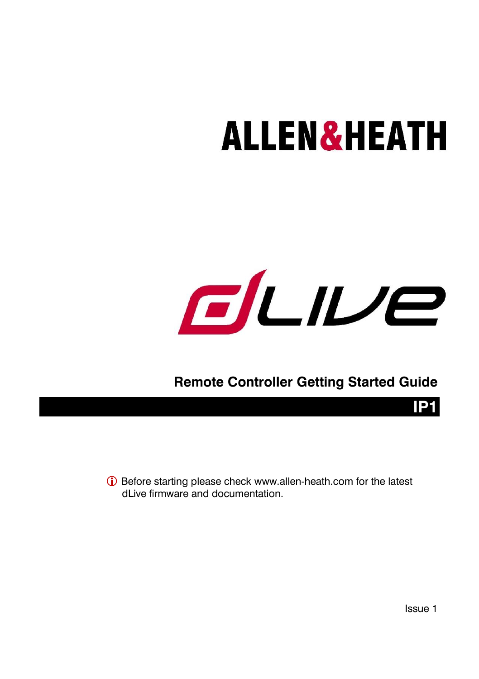# **ALLEN&HEATH**



### **Remote Controller Getting Started Guide**

 Before starting please check [www.allen-heath.com](http://www.allen-heath.com/) for the latest dLive firmware and documentation.

Issue 1

**IP1**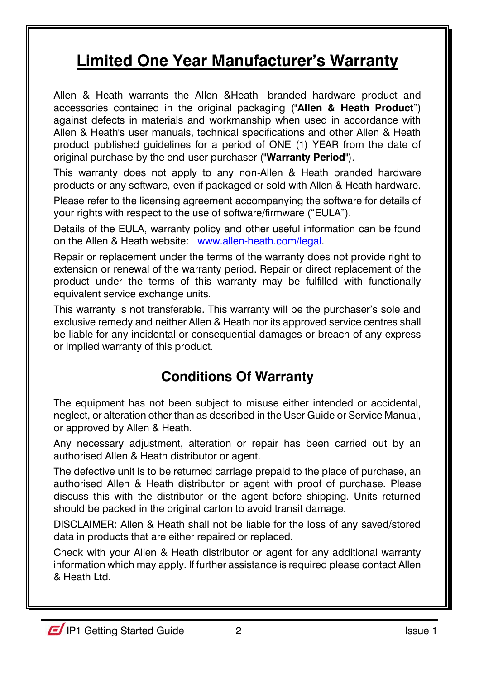### **Limited One Year Manufacturer's Warranty**

Allen & Heath warrants the Allen &Heath -branded hardware product and accessories contained in the original packaging ("**Allen & Heath Product**") against defects in materials and workmanship when used in accordance with Allen & Heath's user manuals, technical specifications and other Allen & Heath product published guidelines for a period of ONE (1) YEAR from the date of original purchase by the end-user purchaser ("**Warranty Period**").

This warranty does not apply to any non-Allen & Heath branded hardware products or any software, even if packaged or sold with Allen & Heath hardware.

Please refer to the licensing agreement accompanying the software for details of your rights with respect to the use of software/firmware ("EULA").

Details of the EULA, warranty policy and other useful information can be found on the Allen & Heath website: [www.allen-heath.com/legal.](http://www.allen-heath.com/legal)

Repair or replacement under the terms of the warranty does not provide right to extension or renewal of the warranty period. Repair or direct replacement of the product under the terms of this warranty may be fulfilled with functionally equivalent service exchange units.

This warranty is not transferable. This warranty will be the purchaser's sole and exclusive remedy and neither Allen & Heath nor its approved service centres shall be liable for any incidental or consequential damages or breach of any express or implied warranty of this product.

### **Conditions Of Warranty**

The equipment has not been subject to misuse either intended or accidental, neglect, or alteration other than as described in the User Guide or Service Manual, or approved by Allen & Heath.

Any necessary adjustment, alteration or repair has been carried out by an authorised Allen & Heath distributor or agent.

The defective unit is to be returned carriage prepaid to the place of purchase, an authorised Allen & Heath distributor or agent with proof of purchase. Please discuss this with the distributor or the agent before shipping. Units returned should be packed in the original carton to avoid transit damage.

DISCLAIMER: Allen & Heath shall not be liable for the loss of any saved/stored data in products that are either repaired or replaced.

Check with your Allen & Heath distributor or agent for any additional warranty information which may apply. If further assistance is required please contact Allen & Heath Ltd.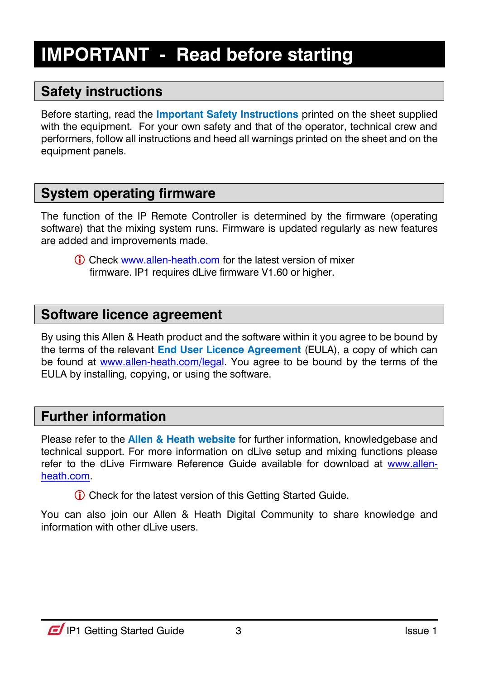### <span id="page-2-0"></span>**IMPORTANT - Read before starting**

### <span id="page-2-1"></span>**Safety instructions**

Before starting, read the **Important Safety Instructions** printed on the sheet supplied with the equipment. For your own safety and that of the operator, technical crew and performers, follow all instructions and heed all warnings printed on the sheet and on the equipment panels.

#### <span id="page-2-2"></span>**System operating firmware**

The function of the IP Remote Controller is determined by the firmware (operating software) that the mixing system runs. Firmware is updated regularly as new features are added and improvements made.

 Check [www.allen-heath.com](http://www.allen-heath.com/) for the latest version of mixer firmware. IP1 requires dLive firmware V1.60 or higher.

#### <span id="page-2-3"></span>**Software licence agreement**

By using this Allen & Heath product and the software within it you agree to be bound by the terms of the relevant **End User Licence Agreement** (EULA), a copy of which can be found at [www.allen-heath.com/legal.](http://www.allen-heath.com/legal) You agree to be bound by the terms of the EULA by installing, copying, or using the software.

#### <span id="page-2-4"></span>**Further information**

Please refer to the **Allen & Heath website** for further information, knowledgebase and technical support. For more information on dLive setup and mixing functions please refer to the dLive Firmware Reference Guide available for download at [www.allen](http://www.allen-heath.com/)[heath.com.](http://www.allen-heath.com/)

Check for the latest version of this Getting Started Guide.

You can also join our Allen & Heath Digital Community to share knowledge and information with other dLive users.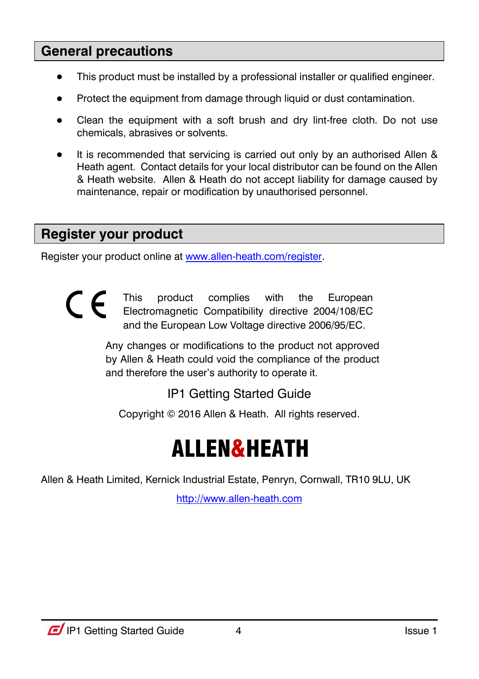#### <span id="page-3-0"></span>**General precautions**

- This product must be installed by a professional installer or qualified engineer.
- Protect the equipment from damage through liquid or dust contamination.
- Clean the equipment with a soft brush and dry lint-free cloth. Do not use chemicals, abrasives or solvents.
- It is recommended that servicing is carried out only by an authorised Allen & Heath agent. Contact details for your local distributor can be found on the Allen & Heath website. Allen & Heath do not accept liability for damage caused by maintenance, repair or modification by unauthorised personnel.

#### <span id="page-3-1"></span>**Register your product**

Register your product online a[t www.allen-heath.com/register.](http://www.allen-heath.com/register)



This product complies with the European Electromagnetic Compatibility directive 2004/108/EC and the European Low Voltage directive 2006/95/EC.

Any changes or modifications to the product not approved by Allen & Heath could void the compliance of the product and therefore the user's authority to operate it.

IP1 Getting Started Guide

Copyright © 2016 Allen & Heath. All rights reserved.

# ALLEN&HEATH

Allen & Heath Limited, Kernick Industrial Estate, Penryn, Cornwall, TR10 9LU, UK

[http://www.allen-heath.com](http://www.allen-heath.com/)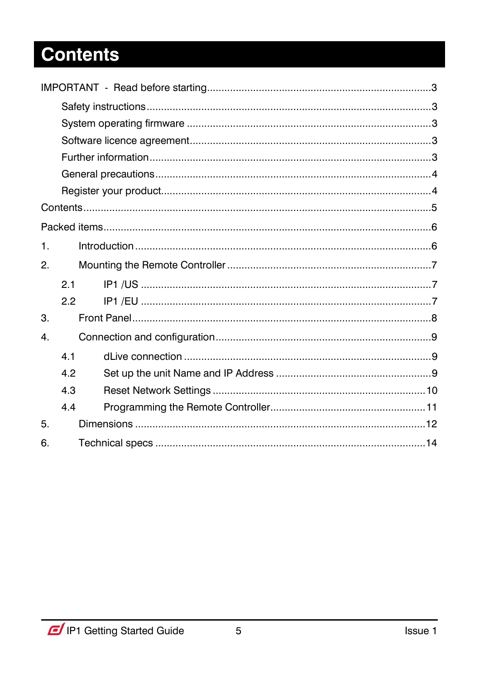## <span id="page-4-0"></span>**Contents**

| $\mathbf{1}$ . |     |  |  |  |  |
|----------------|-----|--|--|--|--|
| 2.             |     |  |  |  |  |
|                | 2.1 |  |  |  |  |
|                | 2.2 |  |  |  |  |
| 3.             |     |  |  |  |  |
| 4.             |     |  |  |  |  |
|                | 4.1 |  |  |  |  |
|                | 4.2 |  |  |  |  |
|                | 4.3 |  |  |  |  |
|                | 4.4 |  |  |  |  |
| 5.             |     |  |  |  |  |
| 6.             |     |  |  |  |  |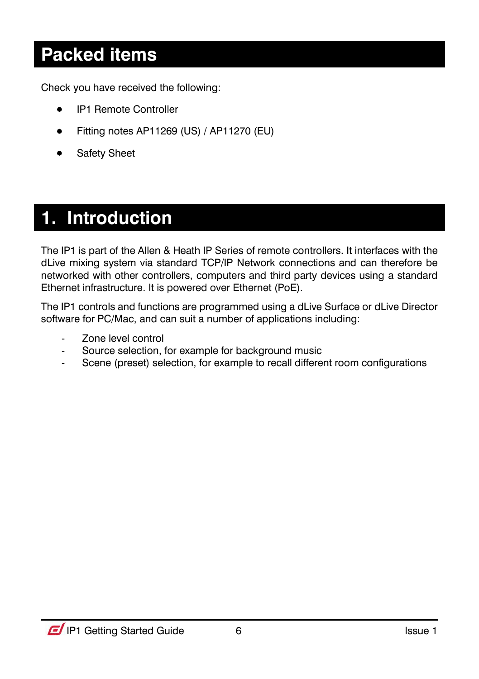### <span id="page-5-0"></span>**Packed items**

Check you have received the following:

- IP1 Remote Controller
- Fitting notes AP11269 (US) / AP11270 (EU)
- Safety Sheet

### <span id="page-5-1"></span>**1. Introduction**

The IP1 is part of the Allen & Heath IP Series of remote controllers. It interfaces with the dLive mixing system via standard TCP/IP Network connections and can therefore be networked with other controllers, computers and third party devices using a standard Ethernet infrastructure. It is powered over Ethernet (PoE).

The IP1 controls and functions are programmed using a dLive Surface or dLive Director software for PC/Mac, and can suit a number of applications including:

- Zone level control
- Source selection, for example for background music
- Scene (preset) selection, for example to recall different room configurations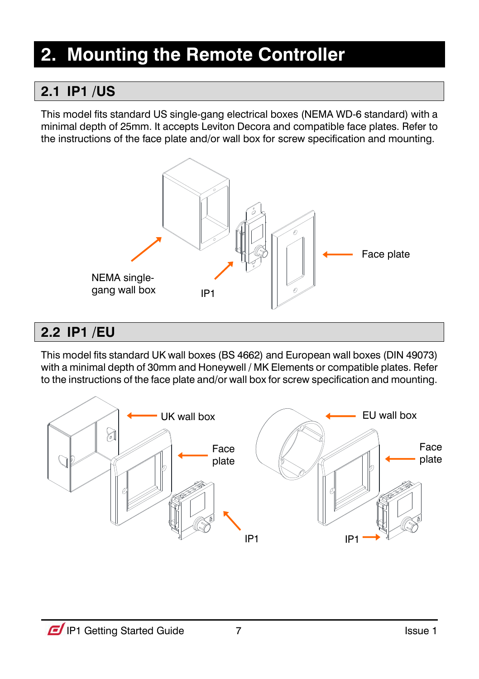### <span id="page-6-0"></span>**2. Mounting the Remote Controller**

### <span id="page-6-1"></span>**2.1 IP1 /US**

This model fits standard US single-gang electrical boxes (NEMA WD-6 standard) with a minimal depth of 25mm. It accepts Leviton Decora and compatible face plates. Refer to the instructions of the face plate and/or wall box for screw specification and mounting.



### <span id="page-6-2"></span>**2.2 IP1 /EU**

This model fits standard UK wall boxes (BS 4662) and European wall boxes (DIN 49073) with a minimal depth of 30mm and Honeywell / MK Elements or compatible plates. Refer to the instructions of the face plate and/or wall box for screw specification and mounting.

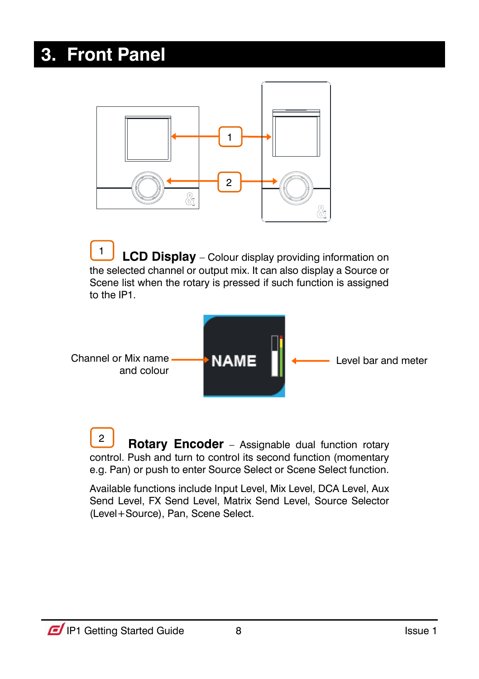### <span id="page-7-0"></span>**3. Front Panel**



 **LCD Display** – Colour display providing information on the selected channel or output mix. It can also display a Source or Scene list when the rotary is pressed if such function is assigned to the IP1. 1



**Rotary Encoder** – Assignable dual function rotary control. Push and turn to control its second function (momentary e.g. Pan) or push to enter Source Select or Scene Select function. 2

Available functions include Input Level, Mix Level, DCA Level, Aux Send Level, FX Send Level, Matrix Send Level, Source Selector (Level+Source), Pan, Scene Select.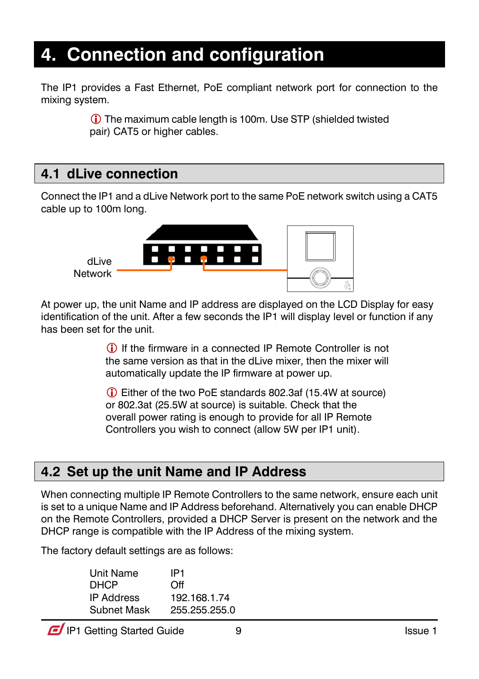### <span id="page-8-0"></span>**4. Connection and configuration**

The IP1 provides a Fast Ethernet, PoE compliant network port for connection to the mixing system.

> The maximum cable length is 100m. Use STP (shielded twisted pair) CAT5 or higher cables.

### <span id="page-8-1"></span>**4.1 dLive connection**

Connect the IP1 and a dLive Network port to the same PoE network switch using a CAT5 cable up to 100m long.



At power up, the unit Name and IP address are displayed on the LCD Display for easy identification of the unit. After a few seconds the IP1 will display level or function if any has been set for the unit.

> If the firmware in a connected IP Remote Controller is not the same version as that in the dLive mixer, then the mixer will automatically update the IP firmware at power up.

 Either of the two PoE standards 802.3af (15.4W at source) or 802.3at (25.5W at source) is suitable. Check that the overall power rating is enough to provide for all IP Remote Controllers you wish to connect (allow 5W per IP1 unit).

### <span id="page-8-2"></span>**4.2 Set up the unit Name and IP Address**

When connecting multiple IP Remote Controllers to the same network, ensure each unit is set to a unique Name and IP Address beforehand. Alternatively you can enable DHCP on the Remote Controllers, provided a DHCP Server is present on the network and the DHCP range is compatible with the IP Address of the mixing system.

The factory default settings are as follows:

| Unit Name          | IP1           |
|--------------------|---------------|
| <b>DHCP</b>        | Off           |
| <b>IP Address</b>  | 192.168.1.74  |
| <b>Subnet Mask</b> | 255.255.255.0 |

**IP1** Getting Started Guide 9 Issue 1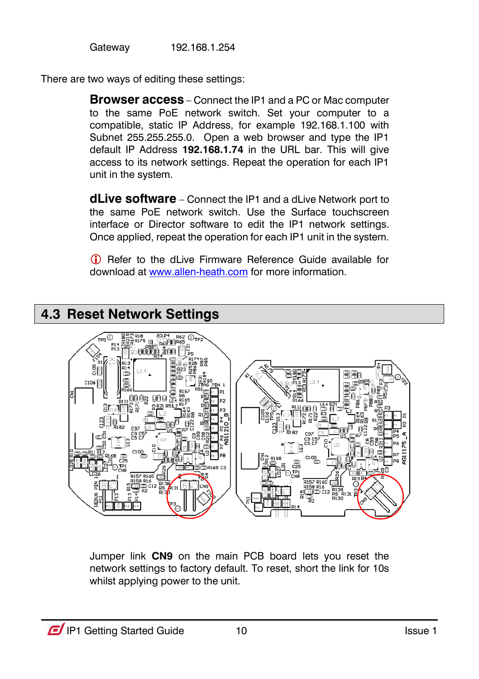Gateway 192.168.1.254

There are two ways of editing these settings:

**Browser access** – Connect the IP1 and a PC or Mac computer to the same PoE network switch. Set your computer to a compatible, static IP Address, for example 192.168.1.100 with Subnet 255.255.255.0. Open a web browser and type the IP1 default IP Address **192.168.1.74** in the URL bar. This will give access to its network settings. Repeat the operation for each IP1 unit in the system.

**dLive software** – Connect the IP1 and a dLive Network port to the same PoE network switch. Use the Surface touchscreen interface or Director software to edit the IP1 network settings. Once applied, repeat the operation for each IP1 unit in the system.

 Refer to the dLive Firmware Reference Guide available for download a[t www.allen-heath.com](http://www.allen-heath.com/) for more information.

<span id="page-9-0"></span>

Jumper link **CN9** on the main PCB board lets you reset the network settings to factory default. To reset, short the link for 10s whilst applying power to the unit.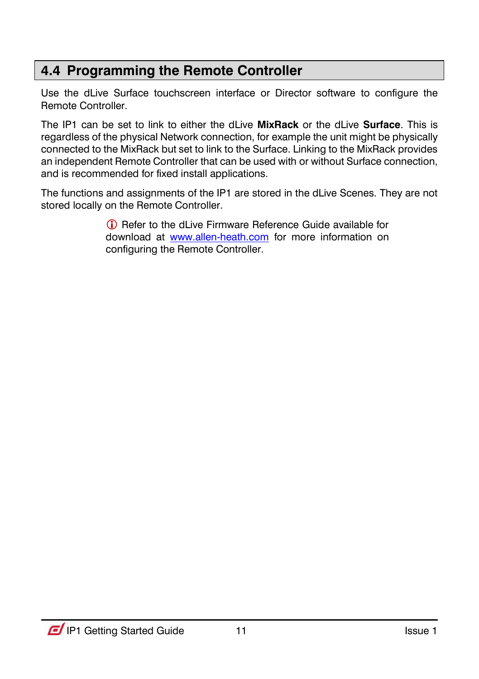### <span id="page-10-0"></span>**4.4 Programming the Remote Controller**

Use the dLive Surface touchscreen interface or Director software to configure the Remote Controller.

The IP1 can be set to link to either the dLive **MixRack** or the dLive **Surface**. This is regardless of the physical Network connection, for example the unit might be physically connected to the MixRack but set to link to the Surface. Linking to the MixRack provides an independent Remote Controller that can be used with or without Surface connection, and is recommended for fixed install applications.

The functions and assignments of the IP1 are stored in the dLive Scenes. They are not stored locally on the Remote Controller.

> Refer to the dLive Firmware Reference Guide available for download at [www.allen-heath.com](http://www.allen-heath.com/) for more information on configuring the Remote Controller.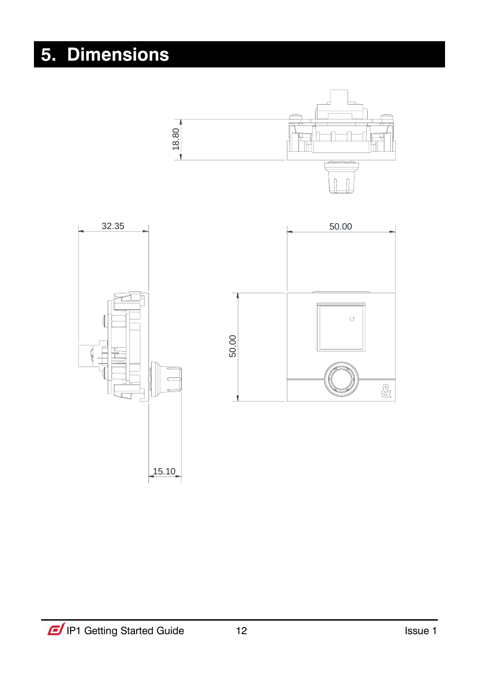# <span id="page-11-0"></span>**5. Dimensions**

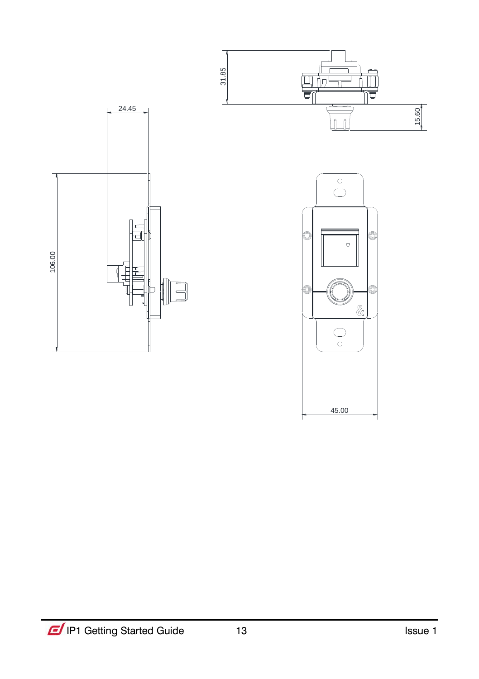